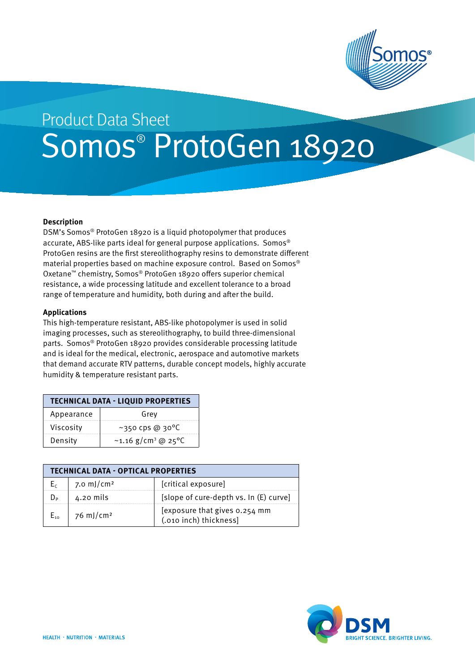

# Somos® ProtoGen 18920 Product Data Sheet

## **Description**

DSM's Somos® ProtoGen 18920 is a liquid photopolymer that produces accurate, ABS-like parts ideal for general purpose applications. Somos® ProtoGen resins are the first stereolithography resins to demonstrate different material properties based on machine exposure control. Based on Somos® Oxetane™ chemistry, Somos® ProtoGen 18920 offers superior chemical resistance, a wide processing latitude and excellent tolerance to a broad range of temperature and humidity, both during and after the build.

## **Applications**

This high-temperature resistant, ABS-like photopolymer is used in solid imaging processes, such as stereolithography, to build three-dimensional parts. Somos® ProtoGen 18920 provides considerable processing latitude and is ideal for the medical, electronic, aerospace and automotive markets that demand accurate RTV patterns, durable concept models, highly accurate humidity & temperature resistant parts.

| <b>TECHNICAL DATA - LIQUID PROPERTIES</b> |                                             |  |  |  |
|-------------------------------------------|---------------------------------------------|--|--|--|
| Appearance                                | Grev                                        |  |  |  |
| Viscosity                                 | ~350 cps @ 30°C                             |  |  |  |
| Density                                   | ~1.16 g/cm <sup>3</sup> @ 25 <sup>o</sup> C |  |  |  |

| TECHNICAL DATA - OPTICAL PROPERTIES |                                  |                                                         |  |  |
|-------------------------------------|----------------------------------|---------------------------------------------------------|--|--|
|                                     | 7.0 mJ/cm <sup>2</sup>           | [critical exposure]                                     |  |  |
|                                     | 4.20 mils                        | [slope of cure-depth vs. In (E) curve]                  |  |  |
|                                     | $E_{10}$   76 mJ/cm <sup>2</sup> | [exposure that gives 0.254 mm<br>(.010 inch) thickness] |  |  |